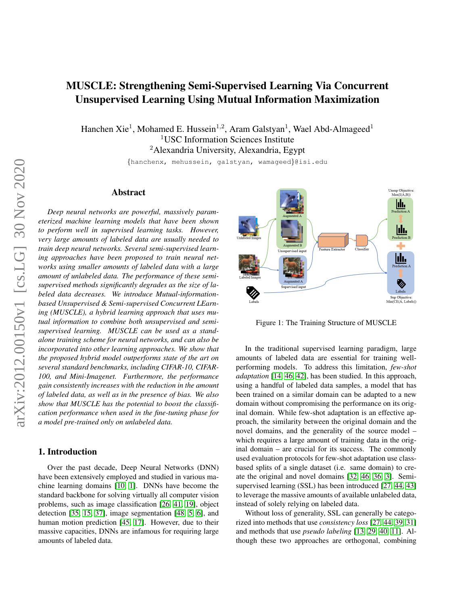# MUSCLE: Strengthening Semi-Supervised Learning Via Concurrent Unsupervised Learning Using Mutual Information Maximization

Hanchen Xie<sup>1</sup>, Mohamed E. Hussein<sup>1,2</sup>, Aram Galstyan<sup>1</sup>, Wael Abd-Almageed<sup>1</sup> <sup>1</sup>USC Information Sciences Institute <sup>2</sup> Alexandria University, Alexandria, Egypt

{hanchenx, mehussein, galstyan, wamageed}@isi.edu

# Abstract

*Deep neural networks are powerful, massively parameterized machine learning models that have been shown to perform well in supervised learning tasks. However, very large amounts of labeled data are usually needed to train deep neural networks. Several semi-supervised learning approaches have been proposed to train neural networks using smaller amounts of labeled data with a large amount of unlabeled data. The performance of these semisupervised methods significantly degrades as the size of labeled data decreases. We introduce Mutual-informationbased Unsupervised & Semi-supervised Concurrent LEarning (MUSCLE), a hybrid learning approach that uses mutual information to combine both unsupervised and semisupervised learning. MUSCLE can be used as a standalone training scheme for neural networks, and can also be incorporated into other learning approaches. We show that the proposed hybrid model outperforms state of the art on several standard benchmarks, including CIFAR-10, CIFAR-100, and Mini-Imagenet. Furthermore, the performance gain consistently increases with the reduction in the amount of labeled data, as well as in the presence of bias. We also show that MUSCLE has the potential to boost the classification performance when used in the fine-tuning phase for a model pre-trained only on unlabeled data.*

# <span id="page-0-0"></span>1. Introduction

Over the past decade, Deep Neural Networks (DNN) have been extensively employed and studied in various machine learning domains [\[10,](#page-8-0) [1\]](#page-8-1). DNNs have become the standard backbone for solving virtually all computer vision problems, such as image classification [\[26,](#page-8-2) [41,](#page-9-0) [19\]](#page-8-3), object detection [\[35,](#page-9-1) [15,](#page-8-4) [37\]](#page-9-2), image segmentation [\[48,](#page-9-3) [5,](#page-8-5) [6\]](#page-8-6), and human motion prediction [\[45,](#page-9-4) [17\]](#page-8-7). However, due to their massive capacities, DNNs are infamous for requiring large amounts of labeled data.



Figure 1: The Training Structure of MUSCLE

In the traditional supervised learning paradigm, large amounts of labeled data are essential for training wellperforming models. To address this limitation, *few-shot adaptation* [\[14,](#page-8-8) [46,](#page-9-5) [42\]](#page-9-6), has been studied. In this approach, using a handful of labeled data samples, a model that has been trained on a similar domain can be adapted to a new domain without compromising the performance on its original domain. While few-shot adaptation is an effective approach, the similarity between the original domain and the novel domains, and the generality of the source model – which requires a large amount of training data in the original domain – are crucial for its success. The commonly used evaluation protocols for few-shot adaptation use classbased splits of a single dataset (i.e. same domain) to create the original and novel domains [\[32,](#page-9-7) [46,](#page-9-5) [36,](#page-9-8) [3\]](#page-8-9). Semisupervised learning (SSL) has been introduced [\[27,](#page-8-10) [44,](#page-9-9) [43\]](#page-9-10) to leverage the massive amounts of available unlabeled data, instead of solely relying on labeled data.

Without loss of generality, SSL can generally be categorized into methods that use *consistency loss* [\[27,](#page-8-10) [44,](#page-9-9) [39,](#page-9-11) [31\]](#page-9-12) and methods that use *pseudo labeling* [\[13,](#page-8-11) [29,](#page-9-13) [40,](#page-9-14) [11\]](#page-8-12). Although these two approaches are orthogonal, combining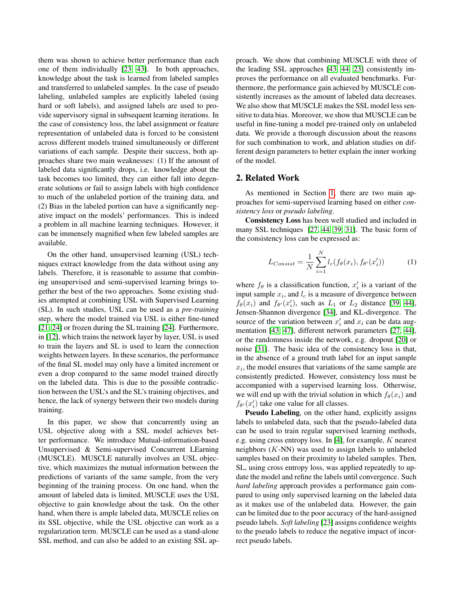them was shown to achieve better performance than each one of them individually [\[23,](#page-8-13) [43\]](#page-9-10). In both approaches, knowledge about the task is learned from labeled samples and transferred to unlabeled samples. In the case of pseudo labeling, unlabeled samples are explicitly labeled (using hard or soft labels), and assigned labels are used to provide supervisory signal in subsequent learning iterations. In the case of consistency loss, the label assignment or feature representation of unlabeled data is forced to be consistent across different models trained simultaneously or different variations of each sample. Despite their success, both approaches share two main weaknesses: (1) If the amount of labeled data significantly drops, i.e. knowledge about the task becomes too limited, they can either fall into degenerate solutions or fail to assign labels with high confidence to much of the unlabeled portion of the training data, and (2) Bias in the labeled portion can have a significantly negative impact on the models' performances. This is indeed a problem in all machine learning techniques. However, it can be immensely magnified when few labeled samples are available.

On the other hand, unsupervised learning (USL) techniques extract knowledge from the data without using any labels. Therefore, it is reasonable to assume that combining unsupervised and semi-supervised learning brings together the best of the two approaches. Some existing studies attempted at combining USL with Supervised Learning (SL). In such studies, USL can be used as a *pre-training* step, where the model trained via USL is either fine-tuned [\[21,](#page-8-14) [24\]](#page-8-15) or frozen during the SL training [\[24\]](#page-8-15). Furthermore, in [\[12\]](#page-8-16), which trains the network layer by layer, USL is used to train the layers and SL is used to learn the connection weights between layers. In these scenarios, the performance of the final SL model may only have a limited increment or even a drop compared to the same model trained directly on the labeled data. This is due to the possible contradiction between the USL's and the SL's training objectives, and hence, the lack of synergy between their two models during training.

In this paper, we show that concurrently using an USL objective along with a SSL model achieves better performance. We introduce Mutual-information-based Unsupervised & Semi-supervised Concurrent LEarning (MUSCLE). MUSCLE naturally involves an USL objective, which maximizes the mutual information between the predictions of variants of the same sample, from the very beginning of the training process. On one hand, when the amount of labeled data is limited, MUSCLE uses the USL objective to gain knowledge about the task. On the other hand, when there is ample labeled data, MUSCLE relies on its SSL objective, while the USL objective can work as a regularization term. MUSCLE can be used as a stand-alone SSL method, and can also be added to an existing SSL approach. We show that combining MUSCLE with three of the leading SSL approaches [\[43,](#page-9-10) [44,](#page-9-9) [23\]](#page-8-13) consistently improves the performance on all evaluated benchmarks. Furthermore, the performance gain achieved by MUSCLE consistently increases as the amount of labeled data decreases. We also show that MUSCLE makes the SSL model less sensitive to data bias. Moreover, we show that MUSCLE can be useful in fine-tuning a model pre-trained only on unlabeled data. We provide a thorough discussion about the reasons for such combination to work, and ablation studies on different design parameters to better explain the inner working of the model.

# 2. Related Work

As mentioned in Section [1,](#page-0-0) there are two main approaches for semi-supervised learning based on either *consistency loss* or *pseudo labeling*.

Consistency Loss has been well studied and included in many SSL techniques [\[27,](#page-8-10) [44,](#page-9-9) [39,](#page-9-11) [31\]](#page-9-12). The basic form of the consistency loss can be expressed as:

<span id="page-1-0"></span>
$$
L_{Consist} = \frac{1}{N} \sum_{i=1}^{N} l_c(f_{\theta}(x_i), f_{\theta'}(x'_i))
$$
 (1)

where  $f_{\theta}$  is a classification function,  $x_i'$  is a variant of the input sample  $x_i$ , and  $l_c$  is a measure of divergence between  $f_{\theta}(x_i)$  and  $f_{\theta}(x'_i)$ , such as  $L_1$  or  $L_2$  distance [\[39,](#page-9-11) [44\]](#page-9-9), Jensen-Shannon divergence [\[34\]](#page-9-15), and KL-divergence. The source of the variation between  $x_i'$  and  $x_i$  can be data augmentation [\[43,](#page-9-10) [47\]](#page-9-16), different network parameters [\[27,](#page-8-10) [44\]](#page-9-9), or the randomness inside the network, e.g. dropout [\[20\]](#page-8-17) or noise [\[31\]](#page-9-12). The basic idea of the consistency loss is that, in the absence of a ground truth label for an input sample  $x_i$ , the model ensures that variations of the same sample are consistently predicted. However, consistency loss must be accompanied with a supervised learning loss. Otherwise, we will end up with the trivial solution in which  $f_{\theta}(x_i)$  and  $f_{\theta}(x'_i)$  take one value for all classes.

Pseudo Labeling, on the other hand, explicitly assigns labels to unlabeled data, such that the pseudo-labeled data can be used to train regular supervised learning methods, e.g. using cross entropy loss. In [\[4\]](#page-8-18), for example,  $K$  nearest neighbors  $(K-NN)$  was used to assign labels to unlabeled samples based on their proximity to labeled samples. Then, SL, using cross entropy loss, was applied repeatedly to update the model and refine the labels until convergence. Such *hard labeling* approach provides a performance gain compared to using only supervised learning on the labeled data as it makes use of the unlabeled data. However, the gain can be limited due to the poor accuracy of the hard-assigned pseudo labels. *Soft labeling* [\[23\]](#page-8-13) assigns confidence weights to the pseudo labels to reduce the negative impact of incorrect pseudo labels.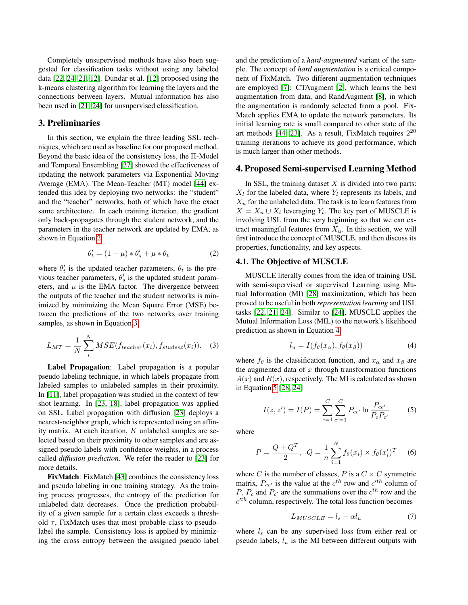Completely unsupervised methods have also been suggested for classification tasks without using any labeled data [\[22,](#page-8-19) [24,](#page-8-15) [21,](#page-8-14) [12\]](#page-8-16). Dundar et al. [\[12\]](#page-8-16) proposed using the k-means clustering algorithm for learning the layers and the connections between layers. Mutual information has also been used in [\[21,](#page-8-14) [24\]](#page-8-15) for unsupervised classification.

#### 3. Preliminaries

In this section, we explain the three leading SSL techniques, which are used as baseline for our proposed method. Beyond the basic idea of the consistency loss, the Π-Model and Temporal Ensembling [\[27\]](#page-8-10) showed the effectiveness of updating the network parameters via Exponential Moving Average (EMA). The Mean-Teacher (MT) model [\[44\]](#page-9-9) extended this idea by deploying two networks: the "student" and the "teacher" networks, both of which have the exact same architecture. In each training iteration, the gradient only back-propagates through the student network, and the parameters in the teacher network are updated by EMA, as shown in Equation [2](#page-2-0)

<span id="page-2-0"></span>
$$
\theta'_t = (1 - \mu) * \theta'_s + \mu * \theta_t \tag{2}
$$

where  $\theta'_t$  is the updated teacher parameters,  $\theta_t$  is the previous teacher parameters,  $\theta'_{s}$  is the updated student parameters, and  $\mu$  is the EMA factor. The divergence between the outputs of the teacher and the student networks is minimized by minimizing the Mean Square Error (MSE) between the predictions of the two networks over training samples, as shown in Equation [3](#page-2-1)

<span id="page-2-1"></span>
$$
L_{MT} = \frac{1}{N} \sum_{i}^{N} MSE(f_{teacher}(x_i), f_{student}(x_i)).
$$
 (3)

Label Propagation: Label propagation is a popular pseudo labeling technique, in which labels propagate from labeled samples to unlabeled samples in their proximity. In [\[11\]](#page-8-12), label propagation was studied in the context of few shot learning. In [\[23,](#page-8-13) [18\]](#page-8-20), label propagation was applied on SSL. Label propagation with diffusion [\[23\]](#page-8-13) deploys a nearest-neighbor graph, which is represented using an affinity matrix. At each iteration,  $K$  unlabeled samples are selected based on their proximity to other samples and are assigned pseudo labels with confidence weights, in a process called *diffusion prediction*. We refer the reader to [\[23\]](#page-8-13) for more details.

FixMatch: FixMatch [\[43\]](#page-9-10) combines the consistency loss and pseudo labeling in one training strategy. As the training process progresses, the entropy of the prediction for unlabeled data decreases. Once the prediction probability of a given sample for a certain class exceeds a threshold  $\tau$ , FixMatch uses that most probable class to pseudolabel the sample. Consistency loss is applied by minimizing the cross entropy between the assigned pseudo label

and the prediction of a *hard-augmented* variant of the sample. The concept of *hard augmentation* is a critical component of FixMatch. Two different augmentation techniques are employed [\[7\]](#page-8-21): CTAugment [\[2\]](#page-8-22), which learns the best augmentation from data, and RandAugment [\[8\]](#page-8-23), in which the augmentation is randomly selected from a pool. Fix-Match applies EMA to update the network parameters. Its initial learning rate is small compared to other state of the art methods [\[44,](#page-9-9) [23\]](#page-8-13). As a result, FixMatch requires  $2^{20}$ training iterations to achieve its good performance, which is much larger than other methods.

# 4. Proposed Semi-supervised Learning Method

In SSL, the training dataset  $X$  is divided into two parts:  $X_l$  for the labeled data, where  $Y_l$  represents its labels, and  $X_u$  for the unlabeled data. The task is to learn features from  $X = X_u \cup X_l$  leveraging  $Y_l$ . The key part of MUSCLE is involving USL from the very beginning so that we can extract meaningful features from  $X_u$ . In this section, we will first introduce the concept of MUSCLE, and then discuss its properties, functionality, and key aspects.

#### 4.1. The Objective of MUSCLE

MUSCLE literally comes from the idea of training USL with semi-supervised or supervised Learning using Mutual Information (MI) [\[28\]](#page-8-24) maximization, which has been proved to be useful in both *representation learning* and USL tasks [\[22,](#page-8-19) [21,](#page-8-14) [24\]](#page-8-15). Similar to [\[24\]](#page-8-15), MUSCLE applies the Mutual Information Loss (MIL) to the network's likelihood prediction as shown in Equation [4](#page-2-2)

<span id="page-2-2"></span>
$$
l_u = I(f_{\theta}(x_{\alpha}), f_{\theta}(x_{\beta})) \tag{4}
$$

where  $f_{\theta}$  is the classification function, and  $x_{\alpha}$  and  $x_{\beta}$  are the augmented data of  $x$  through transformation functions  $A(x)$  and  $B(x)$ , respectively. The MI is calculated as shown in Equation [5](#page-2-3) [\[28,](#page-8-24) [24\]](#page-8-15)

<span id="page-2-3"></span>
$$
I(z, z') = I(P) = \sum_{c=1}^{C} \sum_{c'=1}^{C} P_{cc'} \ln \frac{P_{cc'}}{P_c P_{c'}}
$$
 (5)

where

$$
P = \frac{Q + Q^T}{2}, \ Q = \frac{1}{n} \sum_{i=1}^{N} f_{\theta}(x_i) \times f_{\theta}(x_i')^T \quad (6)
$$

where C is the number of classes, P is a  $C \times C$  symmetric matrix,  $P_{cc}$  is the value at the  $c^{th}$  row and  $c^{th}$  column of P,  $P_c$  and  $P_{c'}$  are the summations over the  $c^{th}$  row and the  $c<sup>th</sup>$  column, respectively. The total loss function becomes

<span id="page-2-4"></span>
$$
L_{MUSCLE} = l_s - \alpha l_u \tag{7}
$$

where  $l_s$  can be any supervised loss from either real or pseudo labels,  $l_u$  is the MI between different outputs with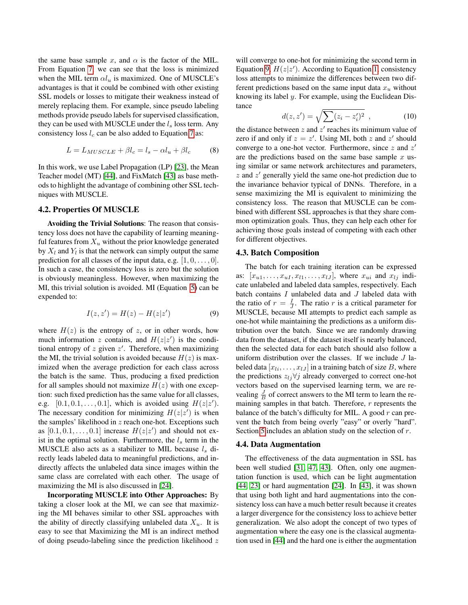the same base sample x, and  $\alpha$  is the factor of the MIL. From Equation [7,](#page-2-4) we can see that the loss is minimized when the MIL term  $\alpha l_u$  is maximized. One of MUSCLE's advantages is that it could be combined with other existing SSL models or losses to mitigate their weakness instead of merely replacing them. For example, since pseudo labeling methods provide pseudo labels for supervised classification, they can be used with MUSCLE under the  $l_s$  loss term. Any consistency loss  $l_c$  can be also added to Equation [7](#page-2-4) as:

$$
L = L_{MUSCLE} + \beta l_c = l_s - \alpha l_u + \beta l_c \tag{8}
$$

In this work, we use Label Propagation (LP) [\[23\]](#page-8-13), the Mean Teacher model (MT) [\[44\]](#page-9-9), and FixMatch [\[43\]](#page-9-10) as base methods to highlight the advantage of combining other SSL techniques with MUSCLE.

# 4.2. Properties Of MUSCLE

Avoiding the Trivial Solutions: The reason that consistency loss does not have the capability of learning meaningful features from  $X_u$  without the prior knowledge generated by  $X_l$  and  $Y_l$  is that the network can simply output the same prediction for all classes of the input data, e.g.  $[1, 0, \ldots, 0]$ . In such a case, the consistency loss is zero but the solution is obviously meaningless. However, when maximizing the MI, this trivial solution is avoided. MI (Equation [5\)](#page-2-3) can be expended to:

<span id="page-3-0"></span>
$$
I(z, z') = H(z) - H(z|z')
$$
 (9)

where  $H(z)$  is the entropy of z, or in other words, how much information z contains, and  $H(z|z')$  is the conditional entropy of  $z$  given  $z'$ . Therefore, when maximizing the MI, the trivial solution is avoided because  $H(z)$  is maximized when the average prediction for each class across the batch is the same. Thus, producing a fixed prediction for all samples should not maximize  $H(z)$  with one exception: such fixed prediction has the same value for all classes, e.g.  $[0.1, 0.1, \ldots, 0.1]$ , which is avoided using  $H(z|z')$ . The necessary condition for minimizing  $H(z|z')$  is when the samples' likelihood in  $z$  reach one-hot. Exceptions such as  $[0.1, 0.1, \ldots, 0.1]$  increase  $H(z|z')$  and should not exist in the optimal solution. Furthermore, the  $l_s$  term in the MUSCLE also acts as a stabilizer to MIL because  $l_s$  directly leads labeled data to meaningful predictions, and indirectly affects the unlabeled data since images within the same class are correlated with each other. The usage of maximizing the MI is also discussed in [\[24\]](#page-8-15).

Incorporating MUSCLE into Other Approaches: By taking a closer look at the MI, we can see that maximizing the MI behaves similar to other SSL approaches with the ability of directly classifying unlabeled data  $X_u$ . It is easy to see that Maximizing the MI is an indirect method of doing pseudo-labeling since the prediction likelihood  $z$ 

will converge to one-hot for minimizing the second term in Equation [9,](#page-3-0)  $H(z|z')$ . According to Equation [1,](#page-1-0) consistency loss attempts to minimize the differences between two different predictions based on the same input data  $x<sub>u</sub>$  without knowing its label y. For example, using the Euclidean Distance

$$
d(z, z') = \sqrt{\sum (z_i - z'_i)^2} \t{,} \t(10)
$$

the distance between  $z$  and  $z'$  reaches its minimum value of zero if and only if  $z = z'$ . Using MI, both z and z' should converge to a one-hot vector. Furthermore, since  $z$  and  $z'$ are the predictions based on the same base sample  $x$  using similar or same network architectures and parameters,  $z$  and  $z'$  generally yield the same one-hot prediction due to the invariance behavior typical of DNNs. Therefore, in a sense maximizing the MI is equivalent to minimizing the consistency loss. The reason that MUSCLE can be combined with different SSL approaches is that they share common optimization goals. Thus, they can help each other for achieving those goals instead of competing with each other for different objectives.

#### <span id="page-3-1"></span>4.3. Batch Composition

The batch for each training iteration can be expressed as:  $[x_{u1}, \ldots, x_{uI}, x_{l1}, \ldots, x_{lJ}]$ , where  $x_{ui}$  and  $x_{lj}$  indicate unlabeled and labeled data samples, respectively. Each batch contains  $I$  unlabeled data and  $J$  labeled data with the ratio of  $r = \frac{I}{J}$ . The ratio r is a critical parameter for MUSCLE, because MI attempts to predict each sample as one-hot while maintaining the predictions as a uniform distribution over the batch. Since we are randomly drawing data from the dataset, if the dataset itself is nearly balanced, then the selected data for each batch should also follow a uniform distribution over the classes. If we include  $J$  labeled data  $[x_{li}, \ldots, x_{IJ}]$  in a training batch of size B, where the predictions  $z_{lj} \forall j$  already converged to correct one-hot vectors based on the supervised learning term, we are revealing  $\frac{J}{B}$  of correct answers to the MI term to learn the remaining samples in that batch. Therefore,  $r$  represents the balance of the batch's difficulty for MIL. A good  $r$  can prevent the batch from being overly "easy" or overly "hard". Section [5](#page-4-0) includes an ablation study on the selection of r.

#### 4.4. Data Augmentation

The effectiveness of the data augmentation in SSL has been well studied [\[31,](#page-9-12) [47,](#page-9-16) [43\]](#page-9-10). Often, only one augmentation function is used, which can be light augmentation  $[44, 23]$  $[44, 23]$  or hard augmentation  $[24]$ . In  $[43]$ , it was shown that using both light and hard augmentations into the consistency loss can have a much better result because it creates a larger divergence for the consistency loss to achieve better generalization. We also adopt the concept of two types of augmentation where the easy one is the classical augmentation used in [\[44\]](#page-9-9) and the hard one is either the augmentation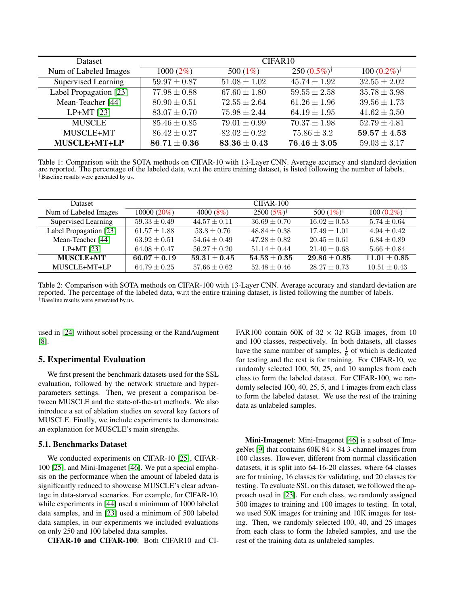<span id="page-4-1"></span>

| <b>Dataset</b>         | CIFAR10          |                  |                        |                         |  |  |  |
|------------------------|------------------|------------------|------------------------|-------------------------|--|--|--|
| Num of Labeled Images  | $1000(2\%)$      | 500 $(1\%)$      | $250(0.5\%)^{\dagger}$ | $100 (0.2\%)^{\dagger}$ |  |  |  |
| Supervised Learning    | $59.97 \pm 0.87$ | $51.08 \pm 1.02$ | $45.74 \pm 1.92$       | $32.55 \pm 2.02$        |  |  |  |
| Label Propagation [23] | $77.98 \pm 0.88$ | $67.60 \pm 1.80$ | $59.55 \pm 2.58$       | $35.78 \pm 3.98$        |  |  |  |
| Mean-Teacher [44]      | $80.90 \pm 0.51$ | $72.55 \pm 2.64$ | $61.26 \pm 1.96$       | $39.56 \pm 1.73$        |  |  |  |
| LP+MT $[23]$           | $83.07 \pm 0.70$ | $75.98 \pm 2.44$ | $64.19 \pm 1.95$       | $41.62 \pm 3.50$        |  |  |  |
| <b>MUSCLE</b>          | $85.46 \pm 0.85$ | $79.01 \pm 0.99$ | $70.37 \pm 1.98$       | $52.79 \pm 4.81$        |  |  |  |
| MUSCLE+MT              | $86.42 \pm 0.27$ | $82.02 \pm 0.22$ | $75.86 \pm 3.2$        | $59.57 \pm 4.53$        |  |  |  |
| MUSCLE+MT+LP           | $86.71 \pm 0.36$ | $83.36 \pm 0.43$ | $76.46 \pm 3.05$       | $59.03 \pm 3.17$        |  |  |  |

Table 1: Comparison with the SOTA methods on CIFAR-10 with 13-Layer CNN. Average accuracy and standard deviation are reported. The percentage of the labeled data, w.r.t the entire training dataset, is listed following the number of labels. †Baseline results were generated by us.

<span id="page-4-2"></span>

| Dataset.               |                  |                  | $CIFAR-100$           |                       |                         |
|------------------------|------------------|------------------|-----------------------|-----------------------|-------------------------|
| Num of Labeled Images  | $10000(20\%)$    | $4000(8\%)$      | $2500(5\%)^{\dagger}$ | 500 $(1\%)^{\dagger}$ | $100 (0.2\%)^{\dagger}$ |
| Supervised Learning    | $59.33 \pm 0.49$ | $44.57 \pm 0.11$ | $36.69 \pm 0.70$      | $16.02 \pm 0.53$      | $5.74 \pm 0.64$         |
| Label Propagation [23] | $61.57 \pm 1.88$ | $53.8 \pm 0.76$  | $48.84 + 0.38$        | $17.49 + 1.01$        | $4.94 + 0.42$           |
| Mean-Teacher [44]      | $63.92 \pm 0.51$ | $54.64 \pm 0.49$ | $47.28 \pm 0.82$      | $20.45 \pm 0.61$      | $6.84 \pm 0.89$         |
| $LP+MT$ [23]           | $64.08 \pm 0.47$ | $56.27 \pm 0.20$ | $51.14 \pm 0.44$      | $21.40 \pm 0.68$      | $5.66 \pm 0.84$         |
| MUSCLE+MT              | $66.07 + 0.19$   | $59.31 + 0.45$   | $54.53 + 0.35$        | $29.86 + 0.85$        | $11.01 + 0.85$          |
| MUSCLE+MT+LP           | $64.79 \pm 0.25$ | $57.66 \pm 0.62$ | $52.48 \pm 0.46$      | $28.27 \pm 0.73$      | $10.51 \pm 0.43$        |

Table 2: Comparison with SOTA methods on CIFAR-100 with 13-Layer CNN. Average accuracy and standard deviation are reported. The percentage of the labeled data, w.r.t the entire training dataset, is listed following the number of labels. †Baseline results were generated by us.

used in [\[24\]](#page-8-15) without sobel processing or the RandAugment [\[8\]](#page-8-23).

# <span id="page-4-0"></span>5. Experimental Evaluation

We first present the benchmark datasets used for the SSL evaluation, followed by the network structure and hyperparameters settings. Then, we present a comparison between MUSCLE and the state-of-the-art methods. We also introduce a set of ablation studies on several key factors of MUSCLE. Finally, we include experiments to demonstrate an explanation for MUSCLE's main strengths.

#### 5.1. Benchmarks Dataset

We conducted experiments on CIFAR-10 [\[25\]](#page-8-25), CIFAR-100 [\[25\]](#page-8-25), and Mini-Imagenet [\[46\]](#page-9-5). We put a special emphasis on the performance when the amount of labeled data is significantly reduced to showcase MUSCLE's clear advantage in data-starved scenarios. For example, for CIFAR-10, while experiments in [\[44\]](#page-9-9) used a minimum of 1000 labeled data samples, and in [\[23\]](#page-8-13) used a minimum of 500 labeled data samples, in our experiments we included evaluations on only 250 and 100 labeled data samples.

CIFAR-10 and CIFAR-100: Both CIFAR10 and CI-

FAR100 contain 60K of  $32 \times 32$  RGB images, from 10 and 100 classes, respectively. In both datasets, all classes have the same number of samples,  $\frac{1}{6}$  of which is dedicated for testing and the rest is for training. For CIFAR-10, we randomly selected 100, 50, 25, and 10 samples from each class to form the labeled dataset. For CIFAR-100, we randomly selected 100, 40, 25, 5, and 1 images from each class to form the labeled dataset. We use the rest of the training data as unlabeled samples.

Mini-Imagenet: Mini-Imagenet [\[46\]](#page-9-5) is a subset of Ima-geNet [\[9\]](#page-8-26) that contains  $60K 84 \times 84 3$ -channel images from 100 classes. However, different from normal classification datasets, it is split into 64-16-20 classes, where 64 classes are for training, 16 classes for validating, and 20 classes for testing. To evaluate SSL on this dataset, we followed the approach used in [\[23\]](#page-8-13). For each class, we randomly assigned 500 images to training and 100 images to testing. In total, we used 50K images for training and 10K images for testing. Then, we randomly selected 100, 40, and 25 images from each class to form the labeled samples, and use the rest of the training data as unlabeled samples.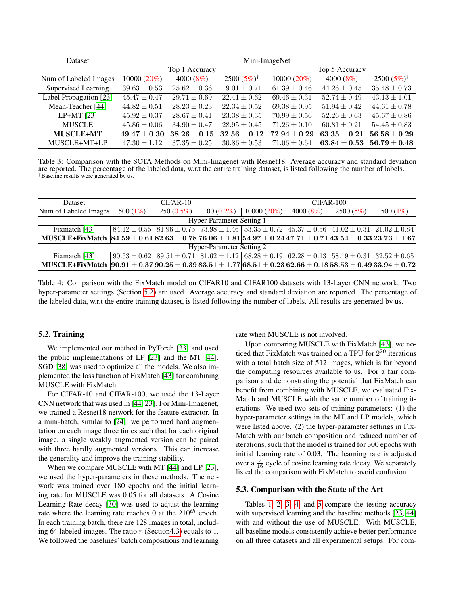<span id="page-5-1"></span>

| <b>Dataset</b>         | Mini-ImageNet    |                  |                       |                  |                                    |                       |  |
|------------------------|------------------|------------------|-----------------------|------------------|------------------------------------|-----------------------|--|
|                        | Top 1 Accuracy   |                  |                       | Top 5 Accuracy   |                                    |                       |  |
| Num of Labeled Images  | $10000(20\%)$    | 4000 $(8\%)$     | $2500(5\%)^{\dagger}$ | $10000(20\%)$    | $4000(8\%)$                        | $2500(5\%)^{\dagger}$ |  |
| Supervised Learning    | $39.63 \pm 0.53$ | $25.62 \pm 0.36$ | $19.01 \pm 0.71$      | $61.39 \pm 0.46$ | $44.26 \pm 0.45$                   | $35.48 \pm 0.73$      |  |
| Label Propagation [23] | $45.47 \pm 0.47$ | $29.71 \pm 0.69$ | $22.41 \pm 0.62$      | $69.46 \pm 0.31$ | $52.74 \pm 0.49$                   | $43.13 \pm 1.01$      |  |
| Mean-Teacher [44]      | $44.82 \pm 0.51$ | $28.23 \pm 0.23$ | $22.34 \pm 0.52$      | $69.38 \pm 0.95$ | $51.94 \pm 0.42$                   | $44.61 \pm 0.78$      |  |
| LP+MT $[23]$           | $45.92 \pm 0.37$ | $28.67 \pm 0.41$ | $23.38 \pm 0.35$      | $70.99 \pm 0.56$ | $52.26 \pm 0.63$                   | $45.67 \pm 0.86$      |  |
| <b>MUSCLE</b>          | $45.86 \pm 0.06$ | $34.90 \pm 0.47$ | $28.95 \pm 0.45$      | $71.26 \pm 0.10$ | $60.81 \pm 0.21$                   | $54.45 \pm 0.83$      |  |
| <b>MUSCLE+MT</b>       | $49.47 \pm 0.30$ | $38.26 \pm 0.15$ | $32.56 \pm 0.12$      | $72.94 \pm 0.29$ | $63.35 \pm 0.21$                   | $56.58 + 0.29$        |  |
| MUSCLE+MT+LP           | $47.30 \pm 1.12$ | $37.35 \pm 0.25$ | $30.86 \pm 0.53$      | $71.06 \pm 0.64$ | $\textbf{63.84} \pm \textbf{0.53}$ | $56.79 \pm 0.48$      |  |

Table 3: Comparison with the SOTA Methods on Mini-Imagenet with Resnet18. Average accuracy and standard deviation are reported. The percentage of the labeled data, w.r.t the entire training dataset, is listed following the number of labels. †Baseline results were generated by us.

<span id="page-5-2"></span>

| <b>Dataset</b>                                                                                                         | $CIFAR-10$  |              |                                                                                                                        | $CIFAR-100$   |             |          |             |  |
|------------------------------------------------------------------------------------------------------------------------|-------------|--------------|------------------------------------------------------------------------------------------------------------------------|---------------|-------------|----------|-------------|--|
| Num of Labeled Images                                                                                                  | 500 $(1\%)$ | $250(0.5\%)$ | $100(0.2\%)$                                                                                                           | $10000(20\%)$ | $4000(8\%)$ | 2500(5%) | 500 $(1\%)$ |  |
| Hyper-Parameter Setting 1                                                                                              |             |              |                                                                                                                        |               |             |          |             |  |
| Fixmatch [43]                                                                                                          |             |              | $84.12 \pm 0.55$ $81.96 \pm 0.75$ $73.98 \pm 1.46$ $53.35 \pm 0.72$ $45.37 \pm 0.56$ $41.02 \pm 0.31$ $21.02 \pm 0.84$ |               |             |          |             |  |
| MUSCLE+FixMatch $ 84.59 \pm 0.6182.63 \pm 0.7876.06 \pm 1.81 54.97 \pm 0.2447.71 \pm 0.7143.54 \pm 0.3323.73 \pm 1.67$ |             |              |                                                                                                                        |               |             |          |             |  |
| Hyper-Parameter Setting 2                                                                                              |             |              |                                                                                                                        |               |             |          |             |  |
| Fixmatch [43]                                                                                                          |             |              | $90.53 \pm 0.62$ $89.51 \pm 0.71$ $81.62 \pm 1.12$ $68.28 \pm 0.19$ $62.28 \pm 0.13$ $58.19 \pm 0.31$ $32.52 \pm 0.65$ |               |             |          |             |  |
| MUSCLE+FixMatch $ 90.91 \pm 0.3790.25 \pm 0.3983.51 \pm 1.7768.51 \pm 0.2362.66 \pm 0.1858.53 \pm 0.4933.94 \pm 0.72$  |             |              |                                                                                                                        |               |             |          |             |  |

Table 4: Comparison with the FixMatch model on CIFAR10 and CIFAR100 datasets with 13-Layer CNN network. Two hyper-parameter settings (Section [5.2\)](#page-5-0) are used. Average accuracy and standard deviation are reported. The percentage of the labeled data, w.r.t the entire training dataset, is listed following the number of labels. All results are generated by us.

### <span id="page-5-0"></span>5.2. Training

We implemented our method in PyTorch [\[33\]](#page-9-17) and used the public implementations of LP [\[23\]](#page-8-13) and the MT [\[44\]](#page-9-9). SGD [\[38\]](#page-9-18) was used to optimize all the models. We also implemented the loss function of FixMatch [\[43\]](#page-9-10) for combining MUSCLE with FixMatch.

For CIFAR-10 and CIFAR-100, we used the 13-Layer CNN network that was used in [\[44,](#page-9-9) [23\]](#page-8-13). For Mini-Imagenet, we trained a Resnet18 network for the feature extractor. In a mini-batch, similar to [\[24\]](#page-8-15), we performed hard augmentation on each image three times such that for each original image, a single weakly augmented version can be paired with three hardly augmented versions. This can increase the generality and improve the training stability.

When we compare MUSCLE with MT [\[44\]](#page-9-9) and LP [\[23\]](#page-8-13), we used the hyper-parameters in these methods. The network was trained over 180 epochs and the initial learning rate for MUSCLE was 0.05 for all datasets. A Cosine Learning Rate decay [\[30\]](#page-9-19) was used to adjust the learning rate where the learning rate reaches 0 at the  $210^{th}$  epoch. In each training batch, there are 128 images in total, including 64 labeled images. The ratio  $r$  (Section 4.3) equals to 1. We followed the baselines' batch compositions and learning rate when MUSCLE is not involved.

Upon comparing MUSCLE with FixMatch [\[43\]](#page-9-10), we noticed that FixMatch was trained on a TPU for  $2^{20}$  iterations with a total batch size of 512 images, which is far beyond the computing resources available to us. For a fair comparison and demonstrating the potential that FixMatch can benefit from combining with MUSCLE, we evaluated Fix-Match and MUSCLE with the same number of training iterations. We used two sets of training parameters: (1) the hyper-parameter settings in the MT and LP models, which were listed above. (2) the hyper-parameter settings in Fix-Match with our batch composition and reduced number of iterations, such that the model is trained for 300 epochs with initial learning rate of 0.03. The learning rate is adjusted over a  $\frac{7}{16}$  cycle of cosine learning rate decay. We separately listed the comparison with FixMatch to avoid confusion.

#### 5.3. Comparison with the State of the Art

Tables [1,](#page-4-1) [2,](#page-4-2) [3,](#page-5-1) [4,](#page-5-2) and [5](#page-6-0) compare the testing accuracy with supervised learning and the baseline methods [\[23,](#page-8-13) [44\]](#page-9-9) with and without the use of MUSCLE. With MUSCLE, all baseline models consistently achieve better performance on all three datasets and all experimental setups. For com-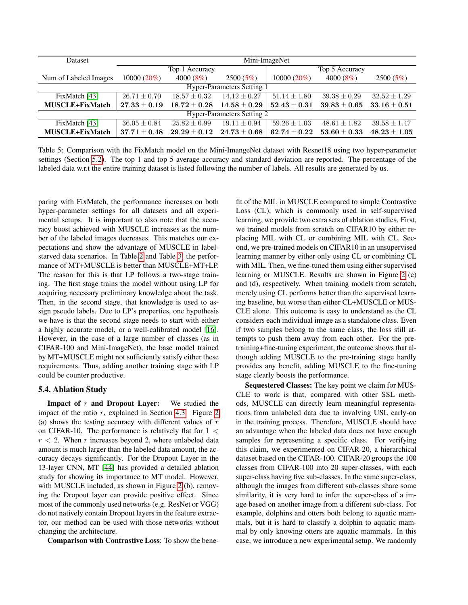<span id="page-6-0"></span>

| <b>Dataset</b>             | Mini-ImageNet    |                  |                  |                                    |                  |                                    |  |  |
|----------------------------|------------------|------------------|------------------|------------------------------------|------------------|------------------------------------|--|--|
|                            |                  | Top 1 Accuracy   |                  |                                    | Top 5 Accuracy   |                                    |  |  |
| Num of Labeled Images      | $10000(20\%)$    | $4000(8\%)$      | 2500(5%)         | $10000(20\%)$                      | $4000(8\%)$      | 2500(5%)                           |  |  |
| Hyper-Parameters Setting 1 |                  |                  |                  |                                    |                  |                                    |  |  |
| FixMatch [43]              | $26.71 \pm 0.70$ | $18.57 \pm 0.32$ | $14.12 \pm 0.27$ | $51.14 \pm 1.80$                   | $39.38 \pm 0.29$ | $32.52 + 1.29$                     |  |  |
| <b>MUSCLE+FixMatch</b>     | $27.33 \pm 0.19$ | $18.72 + 0.28$   | $14.58 \pm 0.29$ | $\textbf{52.43} \pm \textbf{0.31}$ | $39.83\pm0.65$   | $\textbf{33.16} \pm \textbf{0.51}$ |  |  |
| Hyper-Parameters Setting 2 |                  |                  |                  |                                    |                  |                                    |  |  |
| FixMatch [43]              | $36.05 \pm 0.84$ | $25.82 \pm 0.99$ | $19.11 \pm 0.94$ | $59.26 \pm 1.03$                   | $48.61 \pm 1.82$ | $39.58 \pm 1.47$                   |  |  |
| <b>MUSCLE+FixMatch</b>     | $37.71 + 0.48$   | $29.29 + 0.12$   | $24.73 \pm 0.68$ | $62.74 + 0.22$                     | $53.60 \pm 0.33$ | $48.23 \pm 1.05$                   |  |  |

Table 5: Comparison with the FixMatch model on the Mini-ImangeNet dataset with Resnet18 using two hyper-parameter settings (Section [5.2\)](#page-5-0). The top 1 and top 5 average accuracy and standard deviation are reported. The percentage of the labeled data w.r.t the entire training dataset is listed following the number of labels. All results are generated by us.

paring with FixMatch, the performance increases on both hyper-parameter settings for all datasets and all experimental setups. It is important to also note that the accuracy boost achieved with MUSCLE increases as the number of the labeled images decreases. This matches our expectations and show the advantage of MUSCLE in labelstarved data scenarios. In Table [2](#page-4-2) and Table [3,](#page-5-1) the performance of MT+MUSCLE is better than MUSCLE+MT+LP. The reason for this is that LP follows a two-stage training. The first stage trains the model without using LP for acquiring necessary preliminary knowledge about the task. Then, in the second stage, that knowledge is used to assign pseudo labels. Due to LP's properties, one hypothesis we have is that the second stage needs to start with either a highly accurate model, or a well-calibrated model [\[16\]](#page-8-27). However, in the case of a large number of classes (as in CIFAR-100 and Mini-ImageNet), the base model trained by MT+MUSCLE might not sufficiently satisfy either these requirements. Thus, adding another training stage with LP could be counter productive.

### 5.4. Ablation Study

**Impact of**  $r$  **and Dropout Layer:** We studied the impact of the ratio  $r$ , explained in Section [4.3.](#page-3-1) Figure [2](#page-7-0) (a) shows the testing accuracy with different values of  $r$ on CIFAR-10. The performance is relatively flat for  $1 <$  $r < 2$ . When r increases beyond 2, where unlabeled data amount is much larger than the labeled data amount, the accuracy decays significantly. For the Dropout Layer in the 13-layer CNN, MT [\[44\]](#page-9-9) has provided a detailed ablation study for showing its importance to MT model. However, with MUSCLE included, as shown in Figure [2](#page-7-0) (b), removing the Dropout layer can provide positive effect. Since most of the commonly used networks (e.g. ResNet or VGG) do not natively contain Dropout layers in the feature extractor, our method can be used with those networks without changing the architecture.

Comparison with Contrastive Loss: To show the bene-

fit of the MIL in MUSCLE compared to simple Contrastive Loss (CL), which is commonly used in self-supervised learning, we provide two extra sets of ablation studies. First, we trained models from scratch on CIFAR10 by either replacing MIL with CL or combining MIL with CL. Second, we pre-trained models on CIFAR10 in an unsupervised learning manner by either only using CL or combining CL with MIL. Then, we fine-tuned them using either supervised learning or MUSCLE. Results are shown in Figure [2](#page-7-0) (c) and (d), respectively. When training models from scratch, merely using CL performs better than the supervised learning baseline, but worse than either CL+MUSCLE or MUS-CLE alone. This outcome is easy to understand as the CL considers each individual image as a standalone class. Even if two samples belong to the same class, the loss still attempts to push them away from each other. For the pretraining+fine-tuning experiment, the outcome shows that although adding MUSCLE to the pre-training stage hardly provides any benefit, adding MUSCLE to the fine-tuning stage clearly boosts the performance.

Sequestered Classes: The key point we claim for MUS-CLE to work is that, compared with other SSL methods, MUSCLE can directly learn meaningful representations from unlabeled data due to involving USL early-on in the training process. Therefore, MUSCLE should have an advantage when the labeled data does not have enough samples for representing a specific class. For verifying this claim, we experimented on CIFAR-20, a hierarchical dataset based on the CIFAR-100. CIFAR-20 groups the 100 classes from CIFAR-100 into 20 super-classes, with each super-class having five sub-classes. In the same super-class, although the images from different sub-classes share some similarity, it is very hard to infer the super-class of a image based on another image from a different sub-class. For example, dolphins and otters both belong to aquatic mammals, but it is hard to classify a dolphin to aquatic mammal by only knowing otters are aquatic mammals. In this case, we introduce a new experimental setup. We randomly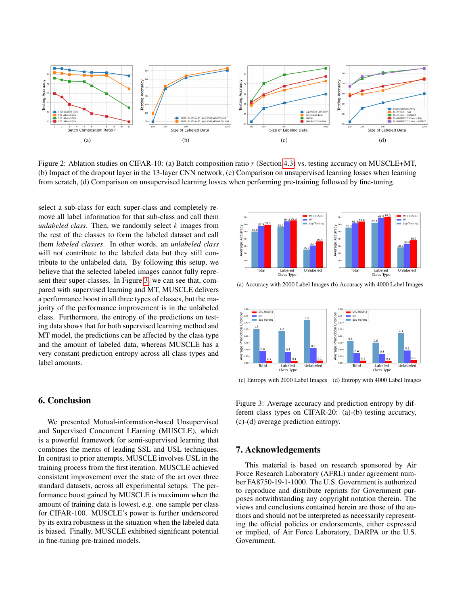<span id="page-7-0"></span>

Figure 2: Ablation studies on CIFAR-10: (a) Batch composition ratio r (Section [4.3\)](#page-3-1) vs. testing accuracy on MUSCLE+MT, (b) Impact of the dropout layer in the 13-layer CNN network, (c) Comparison on unsupervised learning losses when learning from scratch, (d) Comparison on unsupervised learning losses when performing pre-training followed by fine-tuning.

select a sub-class for each super-class and completely remove all label information for that sub-class and call them *unlabeled class*. Then, we randomly select k images from the rest of the classes to form the labeled dataset and call them *labeled classes*. In other words, an *unlabeled class* will not contribute to the labeled data but they still contribute to the unlabeled data. By following this setup, we believe that the selected labeled images cannot fully represent their super-classes. In Figure [3,](#page-7-1) we can see that, compared with supervised learning and MT, MUSCLE delivers a performance boost in all three types of classes, but the majority of the performance improvement is in the unlabeled class. Furthermore, the entropy of the predictions on testing data shows that for both supervised learning method and MT model, the predictions can be affected by the class type and the amount of labeled data, whereas MUSCLE has a very constant prediction entropy across all class types and label amounts.

# 6. Conclusion

We presented Mutual-information-based Unsupervised and Supervised Concurrent LEarning (MUSCLE), which is a powerful framework for semi-supervised learning that combines the merits of leading SSL and USL techniques. In contrast to prior attempts, MUSCLE involves USL in the training process from the first iteration. MUSCLE achieved consistent improvement over the state of the art over three standard datasets, across all experimental setups. The performance boost gained by MUSCLE is maximum when the amount of training data is lowest, e.g. one sample per class for CIFAR-100. MUSCLE's power is further underscored by its extra robustness in the situation when the labeled data is biased. Finally, MUSCLE exhibited significant potential in fine-tuning pre-trained models.

<span id="page-7-1"></span>

(a) Accuracy with 2000 Label Images (b) Accuracy with 4000 Label Images



(c) Entropy with 2000 Label Images (d) Entropy with 4000 Label Images

Figure 3: Average accuracy and prediction entropy by different class types on CIFAR-20: (a)-(b) testing accuracy, (c)-(d) average prediction entropy.

# 7. Acknowledgements

This material is based on research sponsored by Air Force Research Laboratory (AFRL) under agreement number FA8750-19-1-1000. The U.S. Government is authorized to reproduce and distribute reprints for Government purposes notwithstanding any copyright notation therein. The views and conclusions contained herein are those of the authors and should not be interpreted as necessarily representing the official policies or endorsements, either expressed or implied, of Air Force Laboratory, DARPA or the U.S. Government.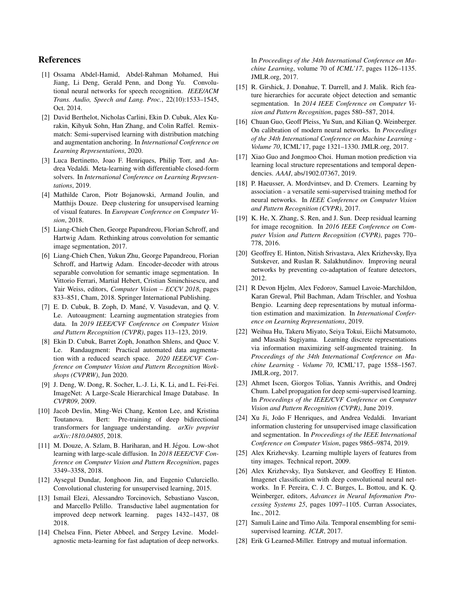# References

- <span id="page-8-1"></span>[1] Ossama Abdel-Hamid, Abdel-Rahman Mohamed, Hui Jiang, Li Deng, Gerald Penn, and Dong Yu. Convolutional neural networks for speech recognition. *IEEE/ACM Trans. Audio, Speech and Lang. Proc.*, 22(10):1533–1545, Oct. 2014.
- <span id="page-8-22"></span>[2] David Berthelot, Nicholas Carlini, Ekin D. Cubuk, Alex Kurakin, Kihyuk Sohn, Han Zhang, and Colin Raffel. Remixmatch: Semi-supervised learning with distribution matching and augmentation anchoring. In *International Conference on Learning Representations*, 2020.
- <span id="page-8-9"></span>[3] Luca Bertinetto, Joao F. Henriques, Philip Torr, and Andrea Vedaldi. Meta-learning with differentiable closed-form solvers. In *International Conference on Learning Representations*, 2019.
- <span id="page-8-18"></span>[4] Mathilde Caron, Piotr Bojanowski, Armand Joulin, and Matthijs Douze. Deep clustering for unsupervised learning of visual features. In *European Conference on Computer Vision*, 2018.
- <span id="page-8-5"></span>[5] Liang-Chieh Chen, George Papandreou, Florian Schroff, and Hartwig Adam. Rethinking atrous convolution for semantic image segmentation, 2017.
- <span id="page-8-6"></span>[6] Liang-Chieh Chen, Yukun Zhu, George Papandreou, Florian Schroff, and Hartwig Adam. Encoder-decoder with atrous separable convolution for semantic image segmentation. In Vittorio Ferrari, Martial Hebert, Cristian Sminchisescu, and Yair Weiss, editors, *Computer Vision – ECCV 2018*, pages 833–851, Cham, 2018. Springer International Publishing.
- <span id="page-8-21"></span>[7] E. D. Cubuk, B. Zoph, D. Mané, V. Vasudevan, and Q. V. Le. Autoaugment: Learning augmentation strategies from data. In *2019 IEEE/CVF Conference on Computer Vision and Pattern Recognition (CVPR)*, pages 113–123, 2019.
- <span id="page-8-23"></span>[8] Ekin D. Cubuk, Barret Zoph, Jonathon Shlens, and Quoc V. Le. Randaugment: Practical automated data augmentation with a reduced search space. *2020 IEEE/CVF Conference on Computer Vision and Pattern Recognition Workshops (CVPRW)*, Jun 2020.
- <span id="page-8-26"></span>[9] J. Deng, W. Dong, R. Socher, L.-J. Li, K. Li, and L. Fei-Fei. ImageNet: A Large-Scale Hierarchical Image Database. In *CVPR09*, 2009.
- <span id="page-8-0"></span>[10] Jacob Devlin, Ming-Wei Chang, Kenton Lee, and Kristina Toutanova. Bert: Pre-training of deep bidirectional transformers for language understanding. *arXiv preprint arXiv:1810.04805*, 2018.
- <span id="page-8-12"></span>[11] M. Douze, A. Szlam, B. Hariharan, and H. Jégou. Low-shot learning with large-scale diffusion. In *2018 IEEE/CVF Conference on Computer Vision and Pattern Recognition*, pages 3349–3358, 2018.
- <span id="page-8-16"></span>[12] Aysegul Dundar, Jonghoon Jin, and Eugenio Culurciello. Convolutional clustering for unsupervised learning, 2015.
- <span id="page-8-11"></span>[13] Ismail Elezi, Alessandro Torcinovich, Sebastiano Vascon, and Marcello Pelillo. Transductive label augmentation for improved deep network learning. pages 1432–1437, 08 2018.
- <span id="page-8-8"></span>[14] Chelsea Finn, Pieter Abbeel, and Sergey Levine. Modelagnostic meta-learning for fast adaptation of deep networks.

In *Proceedings of the 34th International Conference on Machine Learning*, volume 70 of *ICML'17*, pages 1126–1135. JMLR.org, 2017.

- <span id="page-8-4"></span>[15] R. Girshick, J. Donahue, T. Darrell, and J. Malik. Rich feature hierarchies for accurate object detection and semantic segmentation. In *2014 IEEE Conference on Computer Vision and Pattern Recognition*, pages 580–587, 2014.
- <span id="page-8-27"></span>[16] Chuan Guo, Geoff Pleiss, Yu Sun, and Kilian Q. Weinberger. On calibration of modern neural networks. In *Proceedings of the 34th International Conference on Machine Learning - Volume 70*, ICML'17, page 1321–1330. JMLR.org, 2017.
- <span id="page-8-7"></span>[17] Xiao Guo and Jongmoo Choi. Human motion prediction via learning local structure representations and temporal dependencies. *AAAI*, abs/1902.07367, 2019.
- <span id="page-8-20"></span>[18] P. Haeusser, A. Mordvintsev, and D. Cremers. Learning by association - a versatile semi-supervised training method for neural networks. In *IEEE Conference on Computer Vision and Pattern Recognition (CVPR)*, 2017.
- <span id="page-8-3"></span>[19] K. He, X. Zhang, S. Ren, and J. Sun. Deep residual learning for image recognition. In *2016 IEEE Conference on Computer Vision and Pattern Recognition (CVPR)*, pages 770– 778, 2016.
- <span id="page-8-17"></span>[20] Geoffrey E. Hinton, Nitish Srivastava, Alex Krizhevsky, Ilya Sutskever, and Ruslan R. Salakhutdinov. Improving neural networks by preventing co-adaptation of feature detectors, 2012.
- <span id="page-8-14"></span>[21] R Devon Hjelm, Alex Fedorov, Samuel Lavoie-Marchildon, Karan Grewal, Phil Bachman, Adam Trischler, and Yoshua Bengio. Learning deep representations by mutual information estimation and maximization. In *International Conference on Learning Representations*, 2019.
- <span id="page-8-19"></span>[22] Weihua Hu, Takeru Miyato, Seiya Tokui, Eiichi Matsumoto, and Masashi Sugiyama. Learning discrete representations via information maximizing self-augmented training. In *Proceedings of the 34th International Conference on Machine Learning - Volume 70*, ICML'17, page 1558–1567. JMLR.org, 2017.
- <span id="page-8-13"></span>[23] Ahmet Iscen, Giorgos Tolias, Yannis Avrithis, and Ondrej Chum. Label propagation for deep semi-supervised learning. In *Proceedings of the IEEE/CVF Conference on Computer Vision and Pattern Recognition (CVPR)*, June 2019.
- <span id="page-8-15"></span>[24] Xu Ji, João F Henriques, and Andrea Vedaldi. Invariant information clustering for unsupervised image classification and segmentation. In *Proceedings of the IEEE International Conference on Computer Vision*, pages 9865–9874, 2019.
- <span id="page-8-25"></span>[25] Alex Krizhevsky. Learning multiple layers of features from tiny images. Technical report, 2009.
- <span id="page-8-2"></span>[26] Alex Krizhevsky, Ilya Sutskever, and Geoffrey E Hinton. Imagenet classification with deep convolutional neural networks. In F. Pereira, C. J. C. Burges, L. Bottou, and K. Q. Weinberger, editors, *Advances in Neural Information Processing Systems 25*, pages 1097–1105. Curran Associates, Inc., 2012.
- <span id="page-8-10"></span>[27] Samuli Laine and Timo Aila. Temporal ensembling for semisupervised learning. *ICLR*, 2017.
- <span id="page-8-24"></span>[28] Erik G Learned-Miller. Entropy and mutual information.